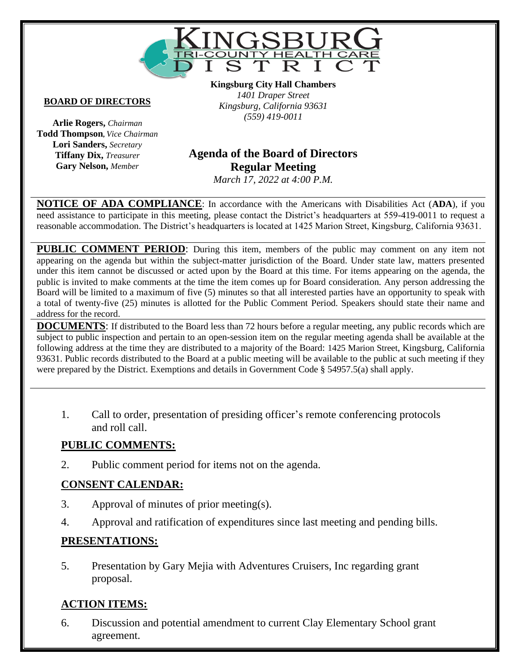

#### **BOARD OF DIRECTORS**

**Arlie Rogers,** *Chairman* **Todd Thompson,** *Vice Chairman* **Lori Sanders,** *Secretary* **Tiffany Dix,** *Treasurer* **Gary Nelson,** *Member*

**Kingsburg City Hall Chambers** *1401 Draper Street Kingsburg, California 93631 (559) 419-0011*

# **Vacant Agenda of the Board of Directors Regular Meeting**

*March 17, 2022 at 4:00 P.M.*

**NOTICE OF ADA COMPLIANCE**: In accordance with the Americans with Disabilities Act (**ADA**), if you need assistance to participate in this meeting, please contact the District's headquarters at 559-419-0011 to request a reasonable accommodation. The District's headquarters is located at 1425 Marion Street, Kingsburg, California 93631.

**PUBLIC COMMENT PERIOD:** During this item, members of the public may comment on any item not appearing on the agenda but within the subject-matter jurisdiction of the Board. Under state law, matters presented under this item cannot be discussed or acted upon by the Board at this time. For items appearing on the agenda, the public is invited to make comments at the time the item comes up for Board consideration. Any person addressing the Board will be limited to a maximum of five (5) minutes so that all interested parties have an opportunity to speak with a total of twenty-five (25) minutes is allotted for the Public Comment Period. Speakers should state their name and address for the record.

**DOCUMENTS**: If distributed to the Board less than 72 hours before a regular meeting, any public records which are subject to public inspection and pertain to an open-session item on the regular meeting agenda shall be available at the following address at the time they are distributed to a majority of the Board: 1425 Marion Street, Kingsburg, California 93631. Public records distributed to the Board at a public meeting will be available to the public at such meeting if they were prepared by the District. Exemptions and details in Government Code § 54957.5(a) shall apply.

1. Call to order, presentation of presiding officer's remote conferencing protocols and roll call.

#### **PUBLIC COMMENTS:**

2. Public comment period for items not on the agenda.

#### **CONSENT CALENDAR:**

- 3. Approval of minutes of prior meeting(s).
- 4. Approval and ratification of expenditures since last meeting and pending bills.

#### **PRESENTATIONS:**

5. Presentation by Gary Mejia with Adventures Cruisers, Inc regarding grant proposal.

#### **ACTION ITEMS:**

6. Discussion and potential amendment to current Clay Elementary School grant agreement.